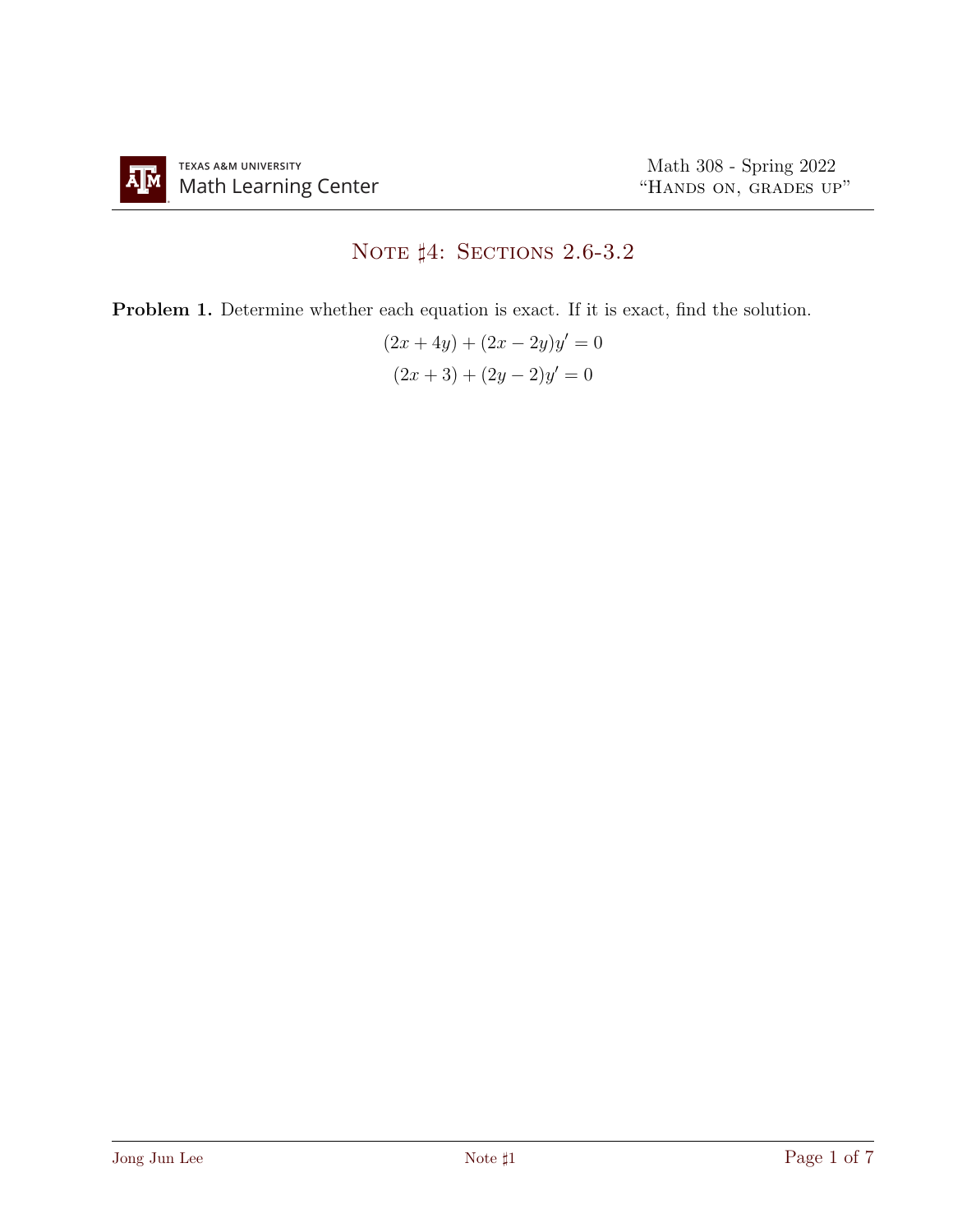## NOTE  $\sharp 4$ : Sections 2.6-3.2

Problem 1. Determine whether each equation is exact. If it is exact, find the solution.

$$
(2x + 4y) + (2x - 2y)y' = 0
$$

$$
(2x + 3) + (2y - 2)y' = 0
$$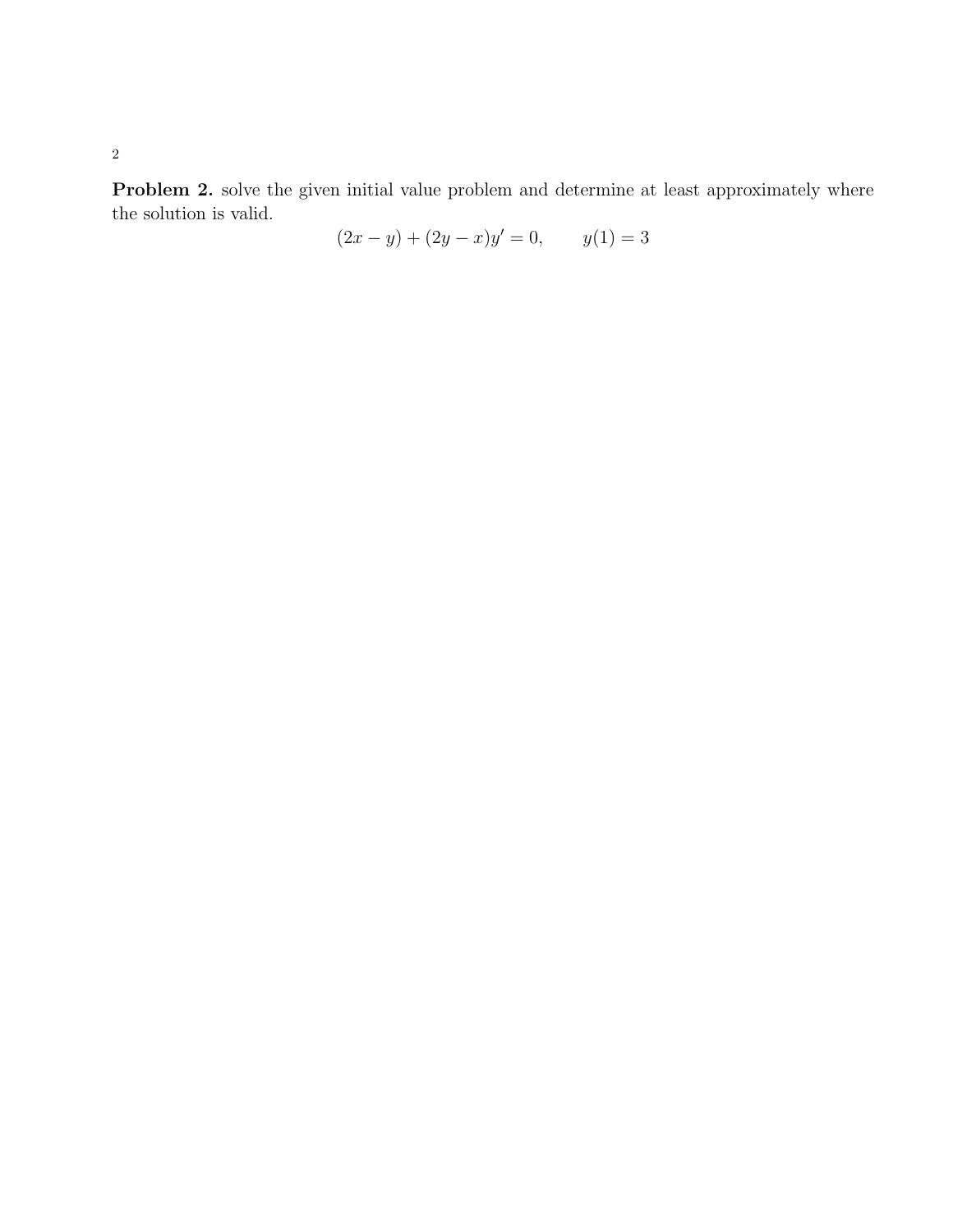Problem 2. solve the given initial value problem and determine at least approximately where the solution is valid.

$$
(2x - y) + (2y - x)y' = 0, \t y(1) = 3
$$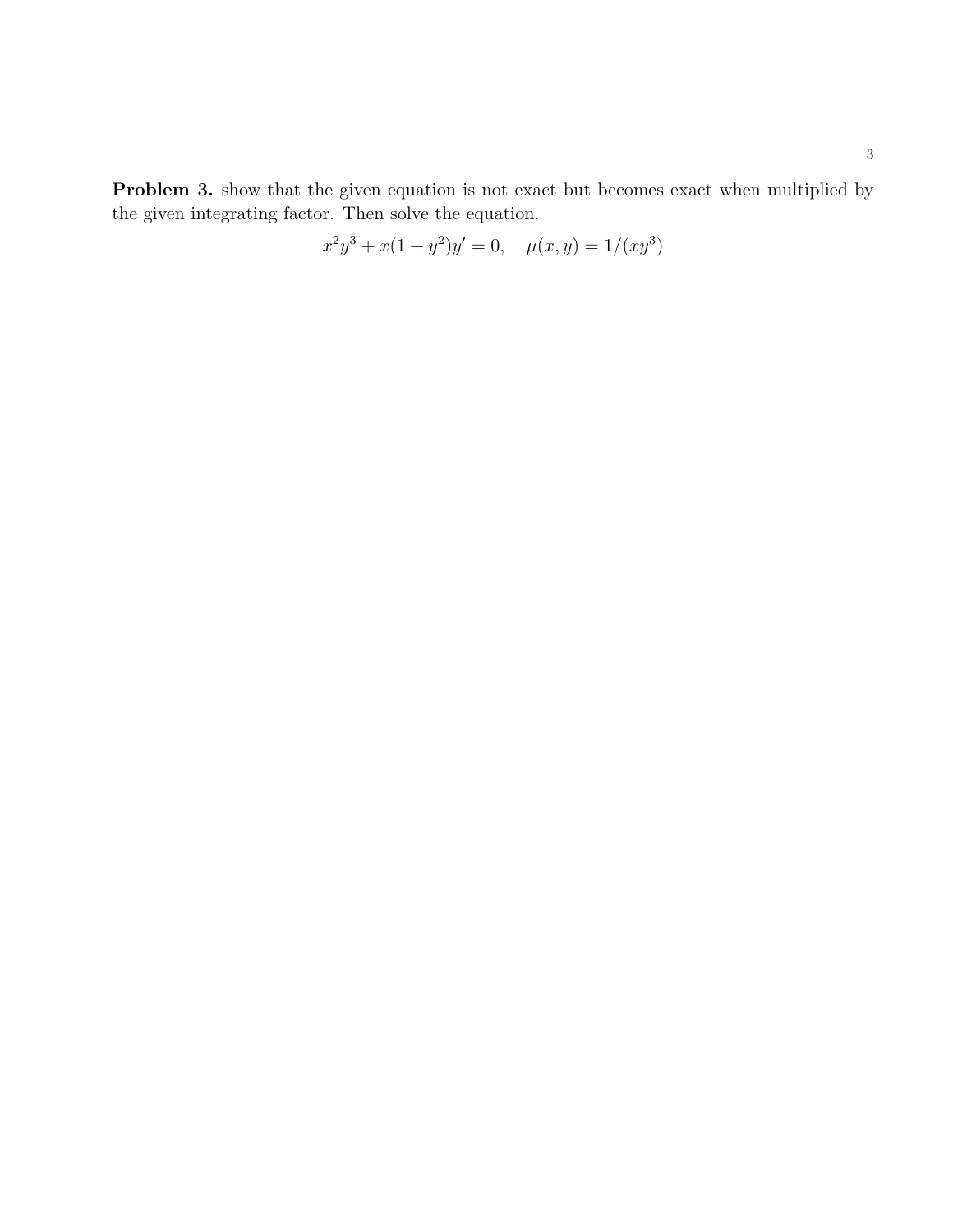Problem 3. show that the given equation is not exact but becomes exact when multiplied by the given integrating factor. Then solve the equation.

$$
x^{2}y^{3} + x(1+y^{2})y' = 0, \quad \mu(x,y) = 1/(xy^{3})
$$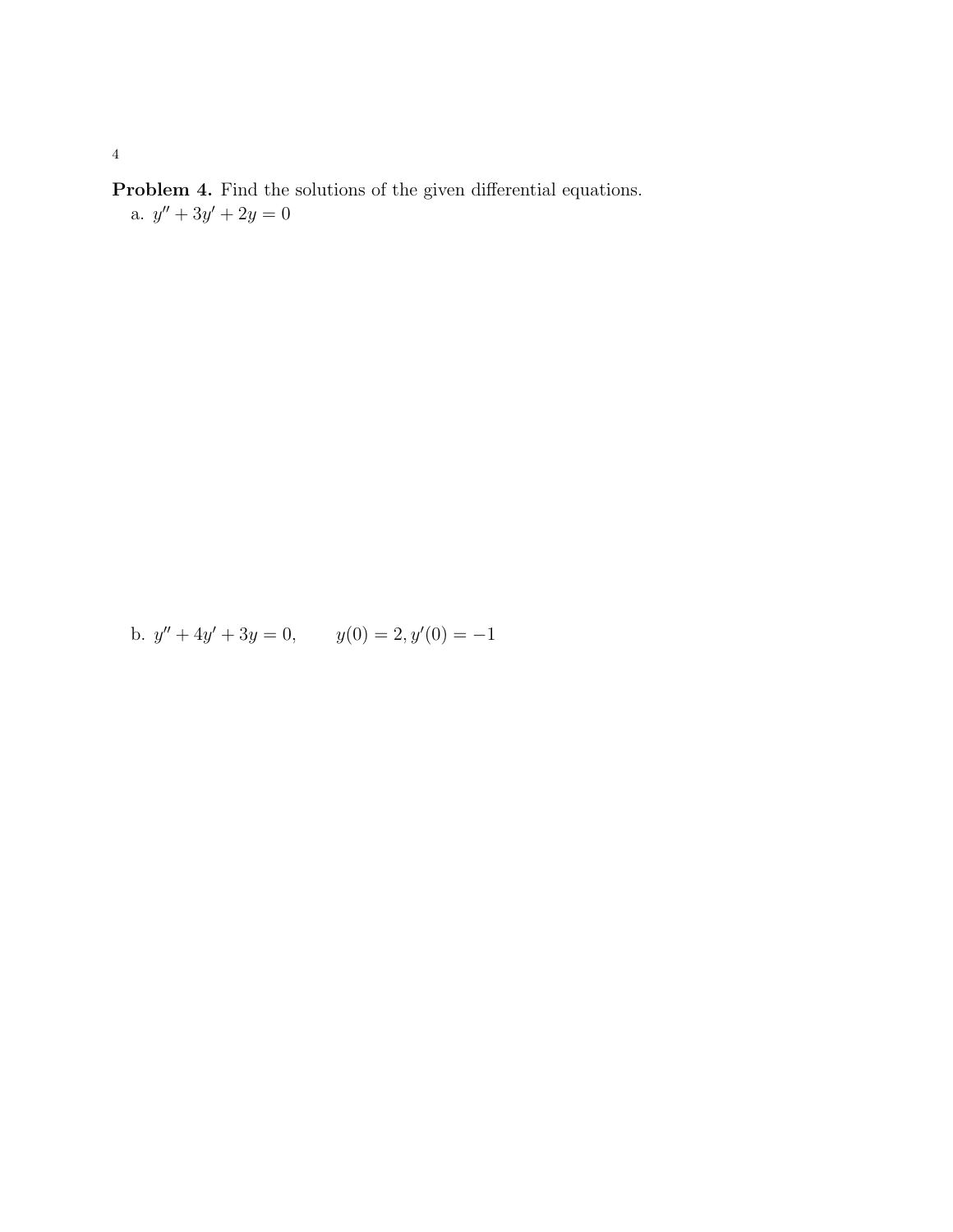Problem 4. Find the solutions of the given differential equations. a.  $y'' + 3y' + 2y = 0$ 

b.  $y'' + 4y' + 3y = 0$ ,  $y(0) = 2$ ,  $y'(0) = -1$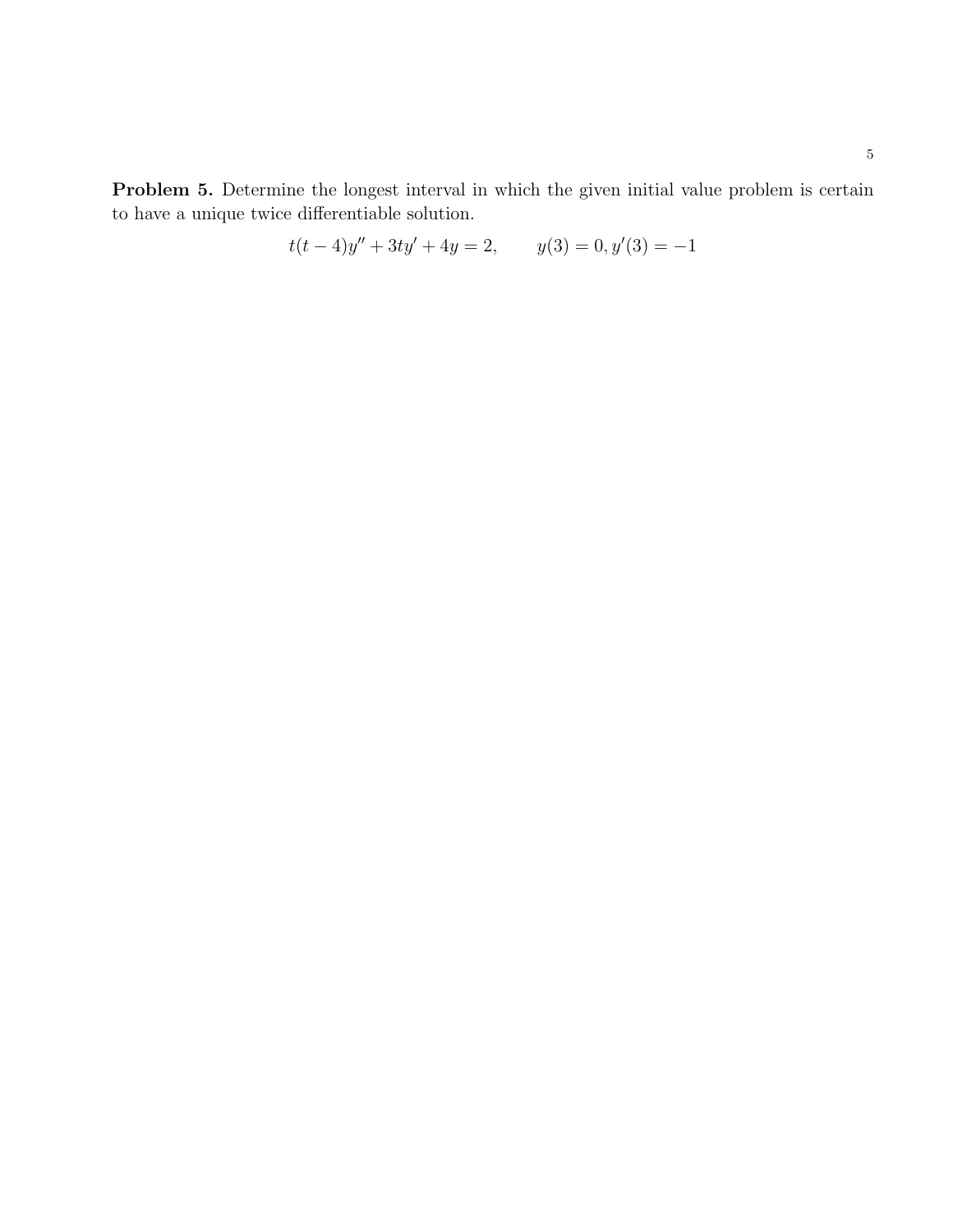Problem 5. Determine the longest interval in which the given initial value problem is certain to have a unique twice differentiable solution.

$$
t(t-4)y'' + 3ty' + 4y = 2, \qquad y(3) = 0, y'(3) = -1
$$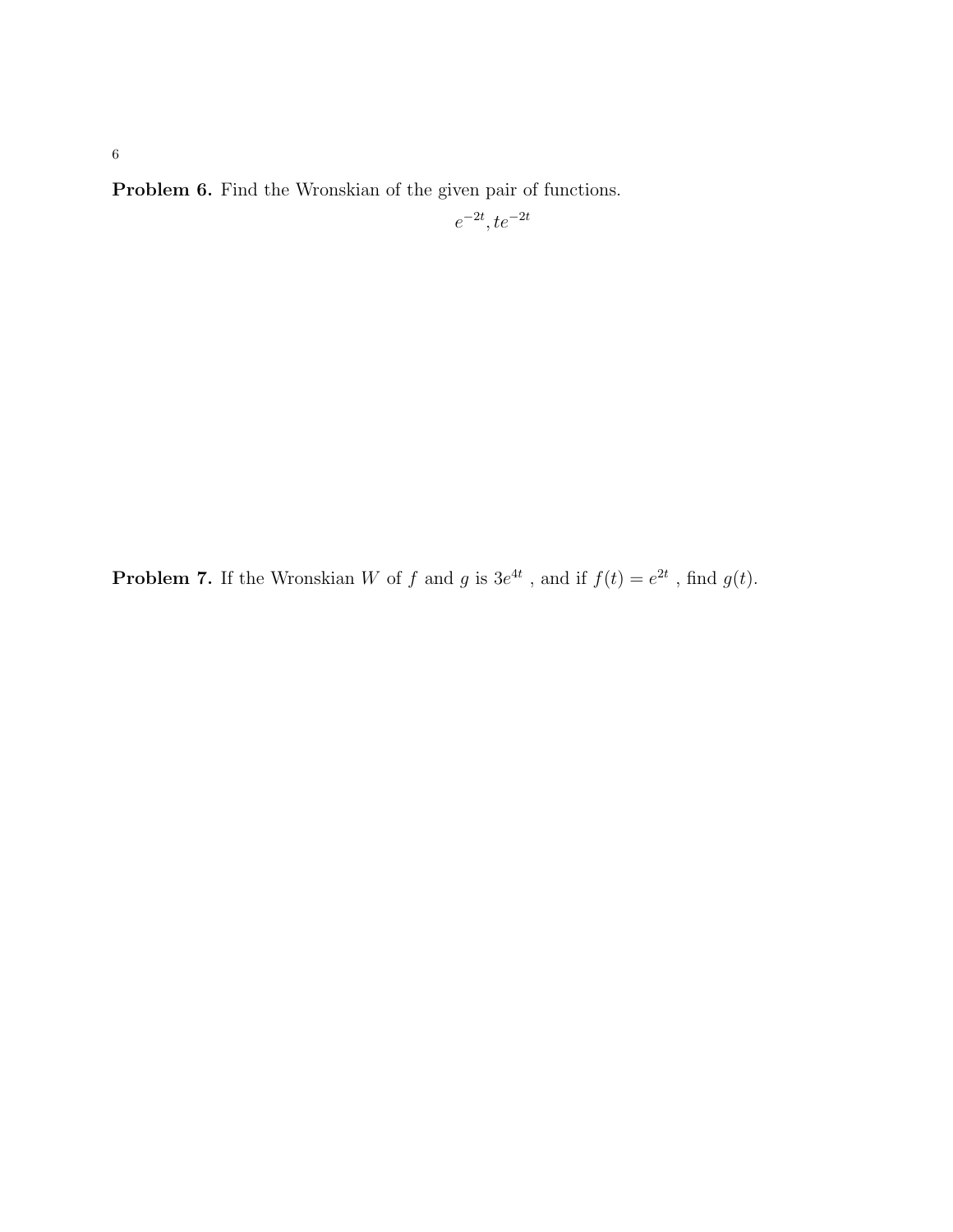Problem 6. Find the Wronskian of the given pair of functions.

$$
e^{-2t}, te^{-2t}
$$

**Problem 7.** If the Wronskian W of f and g is  $3e^{4t}$ , and if  $f(t) = e^{2t}$ , find  $g(t)$ .